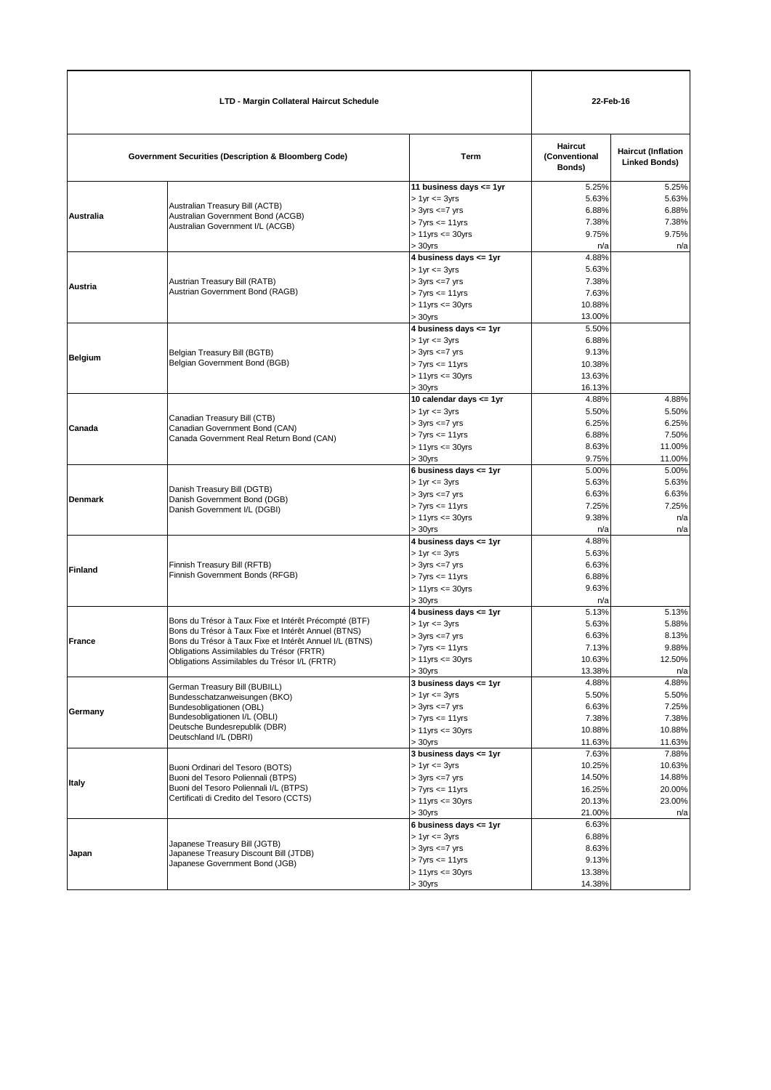| <b>LTD - Margin Collateral Haircut Schedule</b> |                                                                                                                                                                                                                                                                       | 22-Feb-16                                                                                                                                |                                                         |                                                      |
|-------------------------------------------------|-----------------------------------------------------------------------------------------------------------------------------------------------------------------------------------------------------------------------------------------------------------------------|------------------------------------------------------------------------------------------------------------------------------------------|---------------------------------------------------------|------------------------------------------------------|
|                                                 | <b>Government Securities (Description &amp; Bloomberg Code)</b>                                                                                                                                                                                                       | Term                                                                                                                                     | <b>Haircut</b><br>(Conventional<br>Bonds)               | <b>Haircut (Inflation</b><br><b>Linked Bonds)</b>    |
| Australia                                       | Australian Treasury Bill (ACTB)<br>Australian Government Bond (ACGB)<br>Australian Government I/L (ACGB)                                                                                                                                                              | 11 business days <= 1yr<br>$> 1$ yr $= 3$ yrs<br>$> 3yrs \leq -7yrs$<br>$> 7$ yrs $<= 11$ yrs<br>$> 11$ yrs $\leq 30$ yrs<br>$> 30$ yrs  | 5.25%<br>5.63%<br>6.88%<br>7.38%<br>9.75%<br>n/a        | 5.25%<br>5.63%<br>6.88%<br>7.38%<br>9.75%<br>n/a     |
| Austria                                         | Austrian Treasury Bill (RATB)<br>Austrian Government Bond (RAGB)                                                                                                                                                                                                      | 4 business days <= 1yr<br>$> 1$ yr $= 3$ yrs<br>$> 3yrs \leq -7yrs$<br>$> 7yrs \leq 11yrs$<br>$> 11$ yrs $\leq 30$ yrs<br>> 30yrs        | 4.88%<br>5.63%<br>7.38%<br>7.63%<br>10.88%<br>13.00%    |                                                      |
| <b>Belgium</b>                                  | Belgian Treasury Bill (BGTB)<br>Belgian Government Bond (BGB)                                                                                                                                                                                                         | 4 business days <= 1yr<br>$> 1$ yr $= 3$ yrs<br>$> 3yrs \leq -7yrs$<br>$> 7$ yrs $\leq 11$ yrs<br>$> 11$ yrs $\leq 30$ yrs<br>$>30$ vrs  | 5.50%<br>6.88%<br>9.13%<br>10.38%<br>13.63%<br>16.13%   |                                                      |
| Canada                                          | Canadian Treasury Bill (CTB)<br>Canadian Government Bond (CAN)<br>Canada Government Real Return Bond (CAN)                                                                                                                                                            | 10 calendar days <= 1yr<br>$> 1$ yr $= 3$ yrs<br>$> 3yrs \leq -7yrs$<br>$> 7$ yrs $\leq 11$ yrs<br>$> 11$ yrs $\leq 30$ yrs<br>$>30$ yrs | 4.88%<br>5.50%<br>6.25%<br>6.88%<br>8.63%<br>9.75%      | 4.88%<br>5.50%<br>6.25%<br>7.50%<br>11.00%<br>11.00% |
| <b>Denmark</b>                                  | Danish Treasury Bill (DGTB)<br>Danish Government Bond (DGB)<br>Danish Government I/L (DGBI)                                                                                                                                                                           | 6 business days $\leq$ 1yr<br>$> 1$ yr $= 3$ yrs<br>$> 3yrs \leq -7yrs$<br>$> 7$ yrs $<= 11$ yrs<br>$> 11$ yrs $\leq 30$ yrs<br>> 30yrs  | 5.00%<br>5.63%<br>6.63%<br>7.25%<br>9.38%<br>n/a        | 5.00%<br>5.63%<br>6.63%<br>7.25%<br>n/a<br>n/a       |
| <b>Finland</b>                                  | Finnish Treasury Bill (RFTB)<br>Finnish Government Bonds (RFGB)                                                                                                                                                                                                       | 4 business days <= 1yr<br>$> 1$ yr $= 3$ yrs<br>$> 3yrs \leq -7yrs$<br>$> 7$ yrs $\leq 11$ yrs<br>$> 11$ yrs $\leq 30$ yrs<br>$> 30$ yrs | 4.88%<br>5.63%<br>6.63%<br>6.88%<br>9.63%<br>n/a        |                                                      |
| <b>France</b>                                   | Bons du Trésor à Taux Fixe et Intérêt Précompté (BTF)<br>Bons du Trésor à Taux Fixe et Intérêt Annuel (BTNS)<br>Bons du Trésor à Taux Fixe et Intérêt Annuel I/L (BTNS)<br>Obligations Assimilables du Trésor (FRTR)<br>Obligations Assimilables du Trésor I/L (FRTR) | 4 business days <= 1yr<br>$> 1$ yr $= 3$ yrs<br>$> 3yrs \leq -7yrs$<br>$> 7$ yrs $\leq 11$ yrs<br>$> 11$ yrs $<= 30$ yrs<br>$>30$ vrs    | 5.13%<br>5.63%<br>6.63%<br>7.13%<br>10.63%<br>13.38%    | 5.13%<br>5.88%<br>8.13%<br>9.88%<br>12.50%<br>n/a    |
| Germany                                         | German Treasury Bill (BUBILL)<br>Bundesschatzanweisungen (BKO)<br>Bundesobligationen (OBL)<br>Bundesobligationen I/L (OBLI)<br>Deutsche Bundesrepublik (DBR)<br>Deutschland I/L (DBRI)                                                                                | 3 business days $\leq$ 1yr<br>$> 1$ yr $= 3$ yrs<br>$> 3yrs \leq -7yrs$<br>$> 7yrs \leq 11yrs$<br>$> 11$ yrs $\leq 30$ yrs<br>$>30$ yrs  | 4.88%<br>5.50%<br>6.63%<br>7.38%<br>10.88%<br>11.63%    | 4.88%<br>5.50%<br>7.25%<br>7.38%<br>10.88%<br>11.63% |
| Italy                                           | Buoni Ordinari del Tesoro (BOTS)<br>Buoni del Tesoro Poliennali (BTPS)<br>Buoni del Tesoro Poliennali I/L (BTPS)<br>Certificati di Credito del Tesoro (CCTS)                                                                                                          | 3 business days <= 1yr<br>$> 1$ yr $= 3$ yrs<br>$> 3yrs \leq 7yrs$<br>$> 7$ yrs $\leq 11$ yrs<br>$> 11$ yrs $\leq 30$ yrs<br>$> 30$ yrs  | 7.63%<br>10.25%<br>14.50%<br>16.25%<br>20.13%<br>21.00% | 7.88%<br>10.63%<br>14.88%<br>20.00%<br>23.00%<br>n/a |
| Japan                                           | Japanese Treasury Bill (JGTB)<br>Japanese Treasury Discount Bill (JTDB)<br>Japanese Government Bond (JGB)                                                                                                                                                             | 6 business days $\leq$ 1yr<br>$> 1$ yr $= 3$ yrs<br>$> 3yrs \leq -7yrs$<br>$> 7yrs \leq 11yrs$<br>$> 11$ yrs $\leq 30$ yrs<br>$>30$ yrs  | 6.63%<br>6.88%<br>8.63%<br>9.13%<br>13.38%<br>14.38%    |                                                      |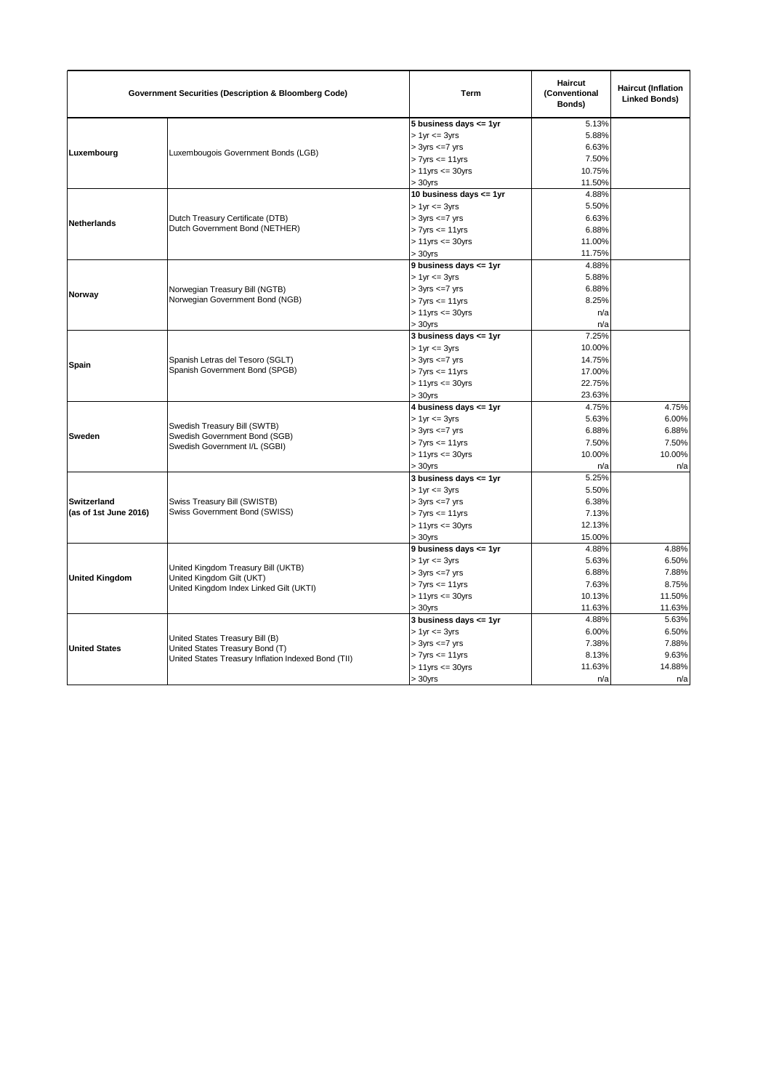| <b>Government Securities (Description &amp; Bloomberg Code)</b> |                                                                                                                           | <b>Term</b>                | <b>Haircut</b><br>(Conventional<br>Bonds) | <b>Haircut (Inflation</b><br><b>Linked Bonds)</b> |
|-----------------------------------------------------------------|---------------------------------------------------------------------------------------------------------------------------|----------------------------|-------------------------------------------|---------------------------------------------------|
|                                                                 |                                                                                                                           | 5 business days $\leq$ 1yr | 5.13%                                     |                                                   |
|                                                                 |                                                                                                                           | $> 1$ yr $<= 3$ yrs        | 5.88%                                     |                                                   |
| Luxembourg                                                      | Luxembougois Government Bonds (LGB)                                                                                       | $> 3yrs \leq 7yrs$         | 6.63%                                     |                                                   |
|                                                                 |                                                                                                                           | $> 7yrs \leq 11yrs$        | 7.50%                                     |                                                   |
|                                                                 |                                                                                                                           | $> 11$ yrs $<= 30$ yrs     | 10.75%                                    |                                                   |
|                                                                 |                                                                                                                           | $> 30$ vrs                 | 11.50%                                    |                                                   |
|                                                                 |                                                                                                                           | 10 business days <= 1yr    | 4.88%                                     |                                                   |
|                                                                 |                                                                                                                           | $> 1$ yr $<= 3$ yrs        | 5.50%                                     |                                                   |
| Netherlands                                                     | Dutch Treasury Certificate (DTB)                                                                                          | $> 3yrs \leq -7yrs$        | 6.63%                                     |                                                   |
|                                                                 | Dutch Government Bond (NETHER)                                                                                            | $> 7$ yrs $\leq 11$ yrs    | 6.88%                                     |                                                   |
|                                                                 |                                                                                                                           | $> 11$ yrs $\leq 30$ yrs   | 11.00%                                    |                                                   |
|                                                                 |                                                                                                                           | $> 30$ yrs                 | 11.75%                                    |                                                   |
|                                                                 |                                                                                                                           | 9 business days <= 1yr     | 4.88%                                     |                                                   |
|                                                                 |                                                                                                                           | $> 1$ yr $\leq$ 3 yrs      | 5.88%                                     |                                                   |
|                                                                 | Norwegian Treasury Bill (NGTB)                                                                                            | $> 3yrs \leq -7yrs$        | 6.88%                                     |                                                   |
| Norway                                                          | Norwegian Government Bond (NGB)                                                                                           | $> 7$ yrs $\leq 11$ yrs    | 8.25%                                     |                                                   |
|                                                                 |                                                                                                                           | $> 11$ yrs $\leq 30$ yrs   | n/a                                       |                                                   |
|                                                                 |                                                                                                                           | $>30$ yrs                  | n/a                                       |                                                   |
|                                                                 |                                                                                                                           | 3 business days $\leq$ 1yr | 7.25%                                     |                                                   |
|                                                                 |                                                                                                                           | $> 1$ yr $<= 3$ yrs        | 10.00%                                    |                                                   |
|                                                                 | Spanish Letras del Tesoro (SGLT)                                                                                          | $> 3yrs \leq 7yrs$         | 14.75%                                    |                                                   |
| Spain                                                           | Spanish Government Bond (SPGB)                                                                                            | $> 7yrs \leq 11yrs$        | 17.00%                                    |                                                   |
|                                                                 |                                                                                                                           | $> 11$ yrs $\leq 30$ yrs   | 22.75%                                    |                                                   |
|                                                                 |                                                                                                                           | $> 30$ yrs                 | 23.63%                                    |                                                   |
|                                                                 |                                                                                                                           | 4 business days <= 1yr     | 4.75%                                     | 4.75%                                             |
|                                                                 |                                                                                                                           | $> 1$ yr $<= 3$ yrs        | 5.63%                                     | 6.00%                                             |
|                                                                 | Swedish Treasury Bill (SWTB)<br>Swedish Government Bond (SGB)                                                             | $> 3yrs \leq -7yrs$        | 6.88%                                     | 6.88%                                             |
| Sweden                                                          |                                                                                                                           | $> 7$ yrs $\leq 11$ yrs    | 7.50%                                     | 7.50%                                             |
|                                                                 | Swedish Government I/L (SGBI)                                                                                             | $> 11$ yrs $<= 30$ yrs     | 10.00%                                    | 10.00%                                            |
|                                                                 |                                                                                                                           | $> 30$ yrs                 | n/a                                       | n/a                                               |
|                                                                 |                                                                                                                           | 3 business days $\leq$ 1yr | 5.25%                                     |                                                   |
|                                                                 |                                                                                                                           | $> 1$ yr $= 3$ yrs         | 5.50%                                     |                                                   |
| Switzerland                                                     | Swiss Treasury Bill (SWISTB)<br>Swiss Government Bond (SWISS)                                                             | $> 3yrs \leq -7yrs$        | 6.38%                                     |                                                   |
| (as of 1st June 2016)                                           |                                                                                                                           | $> 7$ yrs $\leq 11$ yrs    | 7.13%                                     |                                                   |
|                                                                 |                                                                                                                           | $> 11$ yrs $\leq 30$ yrs   | 12.13%                                    |                                                   |
|                                                                 |                                                                                                                           | $> 30$ yrs                 | 15.00%                                    |                                                   |
|                                                                 |                                                                                                                           | 9 business days <= 1yr     | 4.88%                                     | 4.88%                                             |
|                                                                 |                                                                                                                           | $> 1$ yr $\leq$ 3 yrs      | 5.63%                                     | 6.50%                                             |
|                                                                 | United Kingdom Treasury Bill (UKTB)<br>United Kingdom Gilt (UKT)                                                          | $> 3yrs \leq -7yrs$        | 6.88%                                     | 7.88%                                             |
| <b>United Kingdom</b>                                           |                                                                                                                           | $> 7yrs \leq 11yrs$        | 7.63%                                     | 8.75%                                             |
|                                                                 | United Kingdom Index Linked Gilt (UKTI)                                                                                   | $> 11$ yrs $\leq 30$ yrs   | 10.13%                                    | 11.50%                                            |
|                                                                 |                                                                                                                           | $> 30$ yrs                 | 11.63%                                    | 11.63%                                            |
|                                                                 |                                                                                                                           | 3 business days $\leq$ 1yr | 4.88%                                     | 5.63%                                             |
|                                                                 |                                                                                                                           | $> 1$ yr $<= 3$ yrs        | 6.00%                                     | 6.50%                                             |
|                                                                 | United States Treasury Bill (B)<br>United States Treasury Bond (T)<br>United States Treasury Inflation Indexed Bond (TII) | $>$ 3yrs $\leq$ 7 yrs      | 7.38%                                     | 7.88%                                             |
| <b>United States</b>                                            |                                                                                                                           | $> 7$ yrs $<= 11$ yrs      | 8.13%                                     | 9.63%                                             |
|                                                                 |                                                                                                                           | $> 11$ yrs $<= 30$ yrs     | 11.63%                                    | 14.88%                                            |
|                                                                 |                                                                                                                           | $> 30$ yrs                 | n/a                                       | n/a                                               |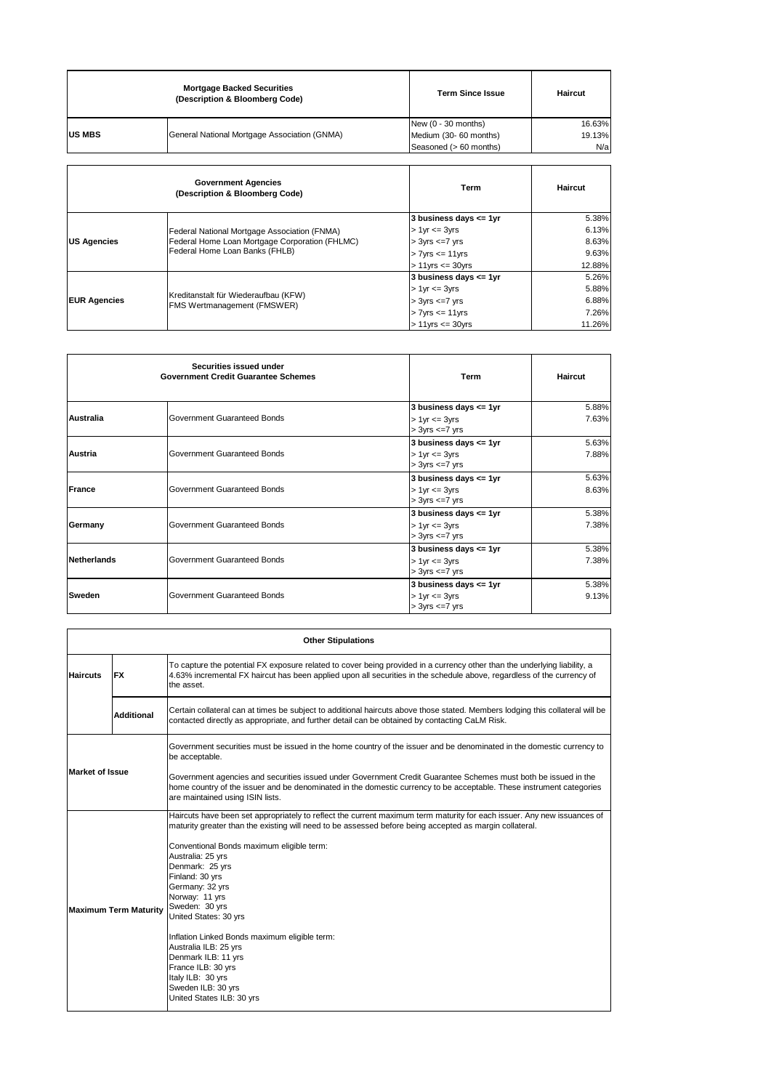|               | <b>Mortgage Backed Securities</b><br>(Description & Bloomberg Code) | <b>Term Since Issue</b> | Haircut |
|---------------|---------------------------------------------------------------------|-------------------------|---------|
|               |                                                                     | New (0 - 30 months)     | 16.63%  |
| <b>US MBS</b> | General National Mortgage Association (GNMA)                        | Medium (30- 60 months)  | 19.13%  |
|               |                                                                     | Seasoned (> 60 months)  | N/a     |
|               | <b>Government Agencies</b><br>(Description & Bloomberg Code)        | Term                    | Haircut |

|                     | Federal National Mortgage Association (FNMA)<br>Federal Home Loan Mortgage Corporation (FHLMC)<br>Federal Home Loan Banks (FHLB) | 3 business days <= 1yr   | 5.38%  |
|---------------------|----------------------------------------------------------------------------------------------------------------------------------|--------------------------|--------|
|                     |                                                                                                                                  | $> 1$ yr $\leq 3$ yrs    | 6.13%  |
| <b>US Agencies</b>  |                                                                                                                                  | $> 3yrs \leq -7yrs$      | 8.63%  |
|                     |                                                                                                                                  | $> 7$ yrs $\leq 11$ yrs  | 9.63%  |
|                     |                                                                                                                                  | $> 11$ yrs $\leq 30$ yrs | 12.88% |
|                     |                                                                                                                                  | 3 business days <= 1yr   | 5.26%  |
|                     |                                                                                                                                  | $> 1$ yr $= 3$ yrs       | 5.88%  |
| <b>EUR Agencies</b> | Kreditanstalt für Wiederaufbau (KFW)<br>FMS Wertmanagement (FMSWER)                                                              | $> 3yrs \leq -7yrs$      | 6.88%  |
|                     |                                                                                                                                  | $> 7$ yrs $\leq 11$ yrs  | 7.26%  |
|                     |                                                                                                                                  | $> 11$ vrs $\leq$ 30 vrs | 11.26% |

|             | Securities issued under<br><b>Government Credit Guarantee Schemes</b> | Term                                                                        | Haircut        |
|-------------|-----------------------------------------------------------------------|-----------------------------------------------------------------------------|----------------|
| Australia   | Government Guaranteed Bonds                                           | 3 business days $\leq$ 1yr<br>$> 1$ yr $= 3$ yrs<br>$>$ 3yrs $\leq$ 7 yrs   | 5.88%<br>7.63% |
| Austria     | Government Guaranteed Bonds                                           | 3 business days <= 1yr<br>$> 1$ yr $= 3$ yrs<br>$>$ 3yrs $\leq$ 7 yrs       | 5.63%<br>7.88% |
| France      | Government Guaranteed Bonds                                           | 3 business days <= 1yr<br>$> 1$ yr $= 3$ yrs<br>$>$ 3yrs $\leq$ 7 yrs       | 5.63%<br>8.63% |
| Germany     | Government Guaranteed Bonds                                           | 3 business days $\leq$ 1yr<br>$> 1$ yr $= 3$ yrs<br>$>$ 3yrs $\leq$ 7 yrs   | 5.38%<br>7.38% |
| Netherlands | Government Guaranteed Bonds                                           | 3 business days $\leq$ 1yr<br>$> 1$ yr $\leq$ 3yrs<br>$>$ 3yrs $\leq$ 7 yrs | 5.38%<br>7.38% |
| Sweden      | Government Guaranteed Bonds                                           | 3 business days $\leq$ 1yr<br>$> 1$ yr $\leq$ 3yrs<br>$>$ 3yrs $\leq$ 7 yrs | 5.38%<br>9.13% |

| <b>Other Stipulations</b>    |                                                                                                                                                                                                                                                                                |                                                                                                                                                                                                                                                                                                                                                                                                                                                                                                                                                                                              |
|------------------------------|--------------------------------------------------------------------------------------------------------------------------------------------------------------------------------------------------------------------------------------------------------------------------------|----------------------------------------------------------------------------------------------------------------------------------------------------------------------------------------------------------------------------------------------------------------------------------------------------------------------------------------------------------------------------------------------------------------------------------------------------------------------------------------------------------------------------------------------------------------------------------------------|
| <b>Haircuts</b>              | To capture the potential FX exposure related to cover being provided in a currency other than the underlying liability, a<br>4.63% incremental FX haircut has been applied upon all securities in the schedule above, regardless of the currency of<br><b>FX</b><br>the asset. |                                                                                                                                                                                                                                                                                                                                                                                                                                                                                                                                                                                              |
|                              | <b>Additional</b>                                                                                                                                                                                                                                                              | Certain collateral can at times be subject to additional haircuts above those stated. Members lodging this collateral will be<br>contacted directly as appropriate, and further detail can be obtained by contacting CaLM Risk.                                                                                                                                                                                                                                                                                                                                                              |
| <b>Market of Issue</b>       |                                                                                                                                                                                                                                                                                | Government securities must be issued in the home country of the issuer and be denominated in the domestic currency to<br>be acceptable.                                                                                                                                                                                                                                                                                                                                                                                                                                                      |
|                              |                                                                                                                                                                                                                                                                                | Government agencies and securities issued under Government Credit Guarantee Schemes must both be issued in the<br>home country of the issuer and be denominated in the domestic currency to be acceptable. These instrument categories<br>are maintained using ISIN lists.                                                                                                                                                                                                                                                                                                                   |
| <b>Maximum Term Maturity</b> |                                                                                                                                                                                                                                                                                | Haircuts have been set appropriately to reflect the current maximum term maturity for each issuer. Any new issuances of<br>maturity greater than the existing will need to be assessed before being accepted as margin collateral.<br>Conventional Bonds maximum eligible term:<br>Australia: 25 yrs<br>Denmark: 25 yrs<br>Finland: 30 yrs<br>Germany: 32 yrs<br>Norway: 11 yrs<br>Sweden: 30 yrs<br>United States: 30 yrs<br>Inflation Linked Bonds maximum eligible term:<br>Australia ILB: 25 yrs<br>Denmark ILB: 11 yrs<br>France ILB: 30 yrs<br>Italy ILB: 30 yrs<br>Sweden ILB: 30 yrs |
|                              |                                                                                                                                                                                                                                                                                | United States ILB: 30 yrs                                                                                                                                                                                                                                                                                                                                                                                                                                                                                                                                                                    |